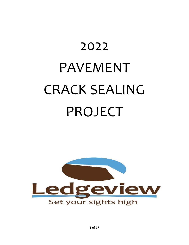# 2022 PAVEMENT CRACK SEALING PROJECT



1 of 17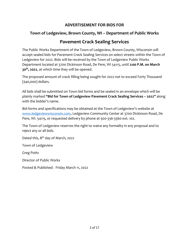# **ADVERTISEMENT FOR BIDS FOR**

# **Town of Ledgeview, Brown County, WI – Department of Public Works**

# **Pavement Crack Sealing Services**

The Public Works Department of the Town of Ledgeview, Brown County, Wisconsin will accept sealed bids for Pavement Crack Sealing Services on select streets within the Town of Ledgeview for 2022. Bids will be received by the Town of Ledgeview Public Works Department located at 3700 Dickinson Road, De Pere, WI 54115, until **2:00 P.M. on March 30th, 2022**, at which time they will be opened.

The proposed amount of crack filling being sought for 2022 not to exceed Forty Thousand (\$40,000) dollars.

All bids shall be submitted on Town bid forms and be sealed in an envelope which will be plainly marked **"Bid for Town of Ledgeview Pavement Crack Sealing Services – 2022"** along with the bidder's name.

Bid forms and specifications may be obtained at the Town of Ledgeview's website at [www.ledgeviewwisconsin.com,](http://www.ledgeviewwisconsin.com/) Ledgeview Community Center at 3700 Dickinson Road, De Pere, WI. 54115, or requested delivery by phone at 920-336-3360 ext. 102.

The Town of Ledgeview reserves the right to waive any formality in any proposal and to reject any or all bids.

Dated this, 8<sup>th</sup> day of March, 2022

Town of Ledgeview

Greg Potts

Director of Public Works

Posted & Published: Friday March 11, 2022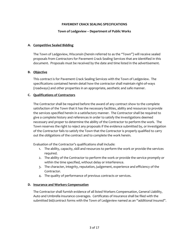#### **PAVEMENT CRACK SEALING SPECIFICATIONS**

#### **Town of Ledgeview – Department of Public Works**

#### **A. Competitive Sealed Bidding**

The Town of Ledgeview, Wisconsin (herein referred to as the "Town") will receive sealed proposals from Contractors for Pavement Crack Sealing Services that are identified in this document. Proposals must be received by the date and time listed in the advertisement.

#### **B. Objective**

This contract is for Pavement Crack Sealing Services with the Town of Ledgeview. The specifications contained herein detail how the contractor shall maintain right-of-ways (roadways) and other properties in an appropriate, aesthetic and safe manner.

#### **C. Qualifications of Contractors**

The Contractor shall be required before the award of any contract show to the complete satisfaction of the Town that it has the necessary facilities, ability and resources to provide the services specified herein in a satisfactory manner. The Contractor shall be required to give a complete history and references in order to satisfy the investigations deemed necessary and proper to determine the ability of the Contractor to perform the work. The Town reserves the right to reject any proposals if the evidence submitted by, or investigation of the Contractor fails to satisfy the Town that the Contractor is properly qualified to carry out the obligations of the contract and to complete the work herein.

Evaluation of the Contractor's qualifications shall include:

- 1. The ability, capacity, skill and resources to perform the work or provide the services required.
- 2. The ability of the Contractor to perform the work or provide the service promptly or within the time specified, without delay or interference.
- 3. The character, integrity, reputation, judgement, experience and efficiency of the Contractor.
- 4. The quality of performance of previous contracts or services.

#### **D. Insurance and Workers Compensation**

The Contractor shall furnish evidence of all listed Workers Compensation, General Liability, Auto and Umbrella insurance coverages. Certificates of insurance shall be filed with the submitted bid/contract forms with the Town of Ledgeview named as an "additional insured".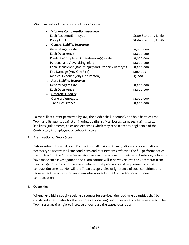Minimum limits of insurance shall be as follows:

| 1. | <b>Workers Compensation Insurance</b>               |                               |
|----|-----------------------------------------------------|-------------------------------|
|    | Each Accident/Employee                              | <b>State Statutory Limits</b> |
|    | Policy Limit                                        | <b>State Statutory Limits</b> |
|    | 2. General Liability Insurance                      |                               |
|    | General Aggregate                                   | \$1,000,000                   |
|    | Each Occurrence                                     | \$1,000,000                   |
|    | Products-Completed Operations Aggregate             | \$1,000,000                   |
|    | Personal and Advertising Injury                     | \$1,000,000                   |
|    | Each Occurrence (Bodily Injury and Property Damage) | \$1,000,000                   |
|    | Fire Damage (Any One Fire)                          | \$100,000                     |
|    | Medical Expense (Any One Person)                    | \$5,000                       |
|    | 3. Auto Liability Insurance                         |                               |
|    | General Aggregate                                   | \$1,000,000                   |
|    | Each Occurrence                                     | \$1,000,000                   |
|    | 4. Umbrella Liability                               |                               |
|    | General Aggregate                                   | \$1,000,000                   |
|    | Each Occurrence                                     | \$1,000,000                   |
|    |                                                     |                               |

To the fullest extent permitted by law, the bidder shall indemnify and hold harmless the Town and its agents against all injuries, deaths, strikes, losses, damages, claims, suits, liabilities, judgements, costs and expenses which may arise from any negligence of the Contractor, its employees or subcontractors.

#### **E. Examination of Work Sites**

Before submitting a bid, each Contractor shall make all investigations and examinations necessary to ascertain all site conditions and requirements affecting the full performance of the contract. If the Contractor receives an award as a result of their bid submission, failure to have made such investigations and examinations will in no way relieve the Contractor from their obligations to comply in every detail with all provisions and requirements of the contract documents. Nor will the Town accept a plea of ignorance of such conditions and requirements as a basis for any claim whatsoever by the Contractor for additional compensation.

# **F. Quantities**

Whenever a bid is sought seeking a request for services, the road mile quantities shall be construed as estimates for the purpose of obtaining unit prices unless otherwise stated. The Town reserves the right to increase or decrease the stated quantities.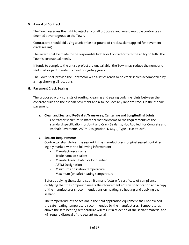#### **G. Award of Contract**

The Town reserves the right to reject any or all proposals and award multiple contracts as deemed advantageous to the Town.

Contractors should bid using a unit price per pound of crack sealant applied for pavement crack sealing.

The award shall be made to the responsible bidder or Contractor with the ability to fulfill the Town's contractual needs.

If funds to complete the entire project are unavailable, the Town may reduce the number of feet in all or part in order to meet budgetary goals.

The Town shall provide the Contractor with a list of roads to be crack sealed accompanied by a map showing all locations.

#### **H. Pavement Crack Sealing**

The proposed work consists of routing, cleaning and sealing curb line joints between the concrete curb and the asphalt pavement and also includes any random cracks in the asphalt pavement.

#### **1. Clean and Seal and Re-Seal at Transverse, Centerline and Longitudinal Joints**

- Contractor shall furnish material that conforms to the requirements of the standard specification for Joint and Crack Sealants, Hot Applied, for Concrete and Asphalt Pavements, ASTM Designation: D 6690, Type I, run at -20ºF.

#### **2. Sealant Requirements**

Contractor shall deliver the sealant in the manufacturer's original sealed container legibly marked with the following information:

- Manufacturer's name
- Trade name of sealant
- Manufacturer's batch or lot number
- ASTM Designation
- Minimum application temperature
- Maximum (or safe) heating temperature

Before applying the sealant, submit a manufacturer's certificate of compliance certifying that the compound meets the requirements of this specification and a copy of the manufacturer's recommendations on heating, re-heating and applying the sealant.

The temperature of the sealant in the field application equipment shall not exceed the safe heating temperature recommended by the manufacturer. Temperatures above the safe heating temperature will result in rejection of the sealant material and will require disposal of the sealant material.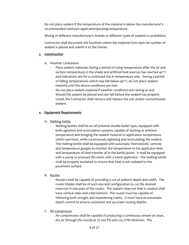Do not place sealant if the temperature of the material is below the manufacturer's recommended minimum application/pouring temperature.

Mixing of different manufacturer's brands or different types of sealants is prohibited.

Contractor shall document the locations where the material from each lot number of sealant is placed and submit it to the Owner.

# **3. Construction**

- A. Weather Limitations
	- Place sealant materials during a period of rising temperature after the air and surface temperature in the shade and artificial heat sources has reached 40º F and indications are for a continued rise in temperature only. During a period of falling temperatures which may fall below 40º F, do not place sealant material until the above conditions are met.
	- Do not place sealant material if weather conditions are raining or wet. Should the sealant be placed and rain fall before the sealant has properly cured, the Contractor shall remove and replace the wet and/or contaminated sealant.

# **4. Equipment Requirements**

- A. Melting Kettle
	- Melting kettles shall be an oil jacketed double boiler type, equipped with both agitation and recirculation systems capable of starting at ambient temperature and bringing the sealant material to application temperature within one hour, while continuously agitating and recirculating the sealant. The melting kettle shall be equipped with automatic thermostatic controls and temperature gauges to monitor the temperature in the applicator lines and temperature of heat transfer oil in the kettle jacket. It shall be equipped with a pump to pressure fill cracks with a wand applicator. The melting kettle shall be properly insulated to ensure that heat is not radiated to the pavement surface.

# B. Router

- Routers shall be capable of providing a cut of uniform depth and width. The router blades shall be of such size and configuration to cut the desired reservoir in one pass of the router. The sealant reservoir that is created shall have vertical sides and a flat bottom. The router must be capable of following both straight and meandering cracks. It must have an automatic depth control to ensure consistent and accurate routing depths.
- C. Air Compressor
	- Air compressors shall be capable of producing a continuous stream of clean, dry air through the nozzle at 75-100 PSI and 225 CFM minimum. The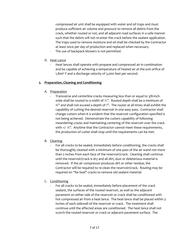compressed air unit shall be equipped with water and oil traps and must produce sufficient air volume and pressure to remove all debris from the crack, whether routed or not, and all adjacent road surfaces in a safe manner such that the debris will not re-enter the crack before the sealant application. The traps used to remove moisture and oil shall be checked by the Contractor at least once per day of production and replaced when necessary.

- The use of backpack blowers is not permitted.
- D. Heat Lance
	- Heat lances shall operate with propane and compressed air in combination and be capable of achieving a temperature of heated air at the exit orifice of 1,800º F and a discharge velocity of 3,000 feet per second.

# **5. Preparation, Cleaning and Conditioning**

# A. Preparation

Transverse and centerline cracks measuring less than or equal to 3/8-inchwide shall be routed to a width of  $\frac{1}{2}$ ". Routed depth shall be a minimum of ¾" and shall not exceed a depth of 1". The router at all times shall exhibit the capability of cutting the desired reservoir in one easy pass. Contractor shall change cutters when it is evident that the reservoir configuration specified is not being achieved. Demonstrate the cutters capability of following meandering cracks and maintaining centering of the reservoir over the crack with +/-  $\frac{1}{4}$ . Anytime that the Contractor cannot meet these requirements, the production of cutter shall stop until the requirements can be met.

# B. Cleaning

For all cracks to be sealed, immediately before conditioning, the cracks shall be thoroughly cleaned with a minimum of one pass of the air wand not more than 2 inches from each face of the reservoir/crack. Cleaning shall continue until the reservoir/crack is dry and all dirt, dust or deleterious material is removed. If the air compressor produces dirt or other residue, the Contractor will be required to re-clean the reservoir/crack. Routing may be required on "Re-Seal" cracks to remove old sealant material.

# C. Conditioning

For all cracks to be sealed, immediately before placement of the crack sealant, the surfaces of the routed reservoir, as well as the adjacent pavement on either side of the reservoir or crack shall be conditioned with hot compressed air from a heat lance. The heat lance shall be placed within 3 inches of each sidewall of the reservoir or crack. The treatment shall continue until the affected areas are conditioned. The heat lance shall not scorch the routed reservoir or crack or adjacent pavement surface. The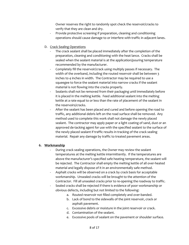Owner reserves the right to randomly spot check the reservoir/cracks to verify that they are clean and dry.

- Provide protective screening if preparation, cleaning and conditioning operations should cause damage to or interfere with traffic in adjacent lanes.
- D. Crack Sealing Operations
	- The crack sealant shall be placed immediately after the completion of the preparation, cleaning and conditioning with the heat lance. Cracks shall be sealed when the sealant material is at the application/pouring temperature recommended by the manufacturer.
	- Completely fill the reservoir/crack using multiply passes if necessary. The width of the overband, including the routed reservoir shall be between 3 inches to 4 inches in width. The Contractor may be required to use a squeegee to force the sealant material into narrow cracks if the sealant material is not flowing into the cracks properly.
	- Sealants shall not be removed from their packaging until immediately before it is placed in the melting kettle. Feed additional sealant into the melting kettle at a rate equal to or less than the rate of placement of the sealant in the reservoirs/cracks.
	- After the sealant has been placed and cured and before opening the road to traffic, any additional debris left on the road surface shall be removed. Any method used to complete this work shall not damage the newly placed sealant. The contractor may apply paper or a light coating of sand, dust or an approved de-tacking agent for use with the specified sealant to the surface of the newly placed sealant if traffic results in tracking of the crack sealing material. Repair any damage by traffic to treated pavement areas.

#### **6. Workmanship**

- During crack sealing operations, the Owner may review the sealant temperatures at the melting kettle intermittently. If the temperatures are above the manufacturer's specified safe heating temperature, the sealant will be rejected. The Contractor shall empty the melting kettle of all over-heated material and legally dispose of it in an environmentally safe method.
- Asphalt cracks will be observed on a crack by crack basis for acceptable workmanship. Unsealed cracks will be brought to the attention of the Contractor. Fill all unsealed cracks prior to re-opening the roadway to traffic.
- Sealed cracks shall be rejected if there is evidence of poor workmanship or obvious defects, including but not limited to the following:
	- a. Routed reservoir not filled completely and over-banded.
	- b. Lack of bond to the sidewalls of the joint reservoir, crack or asphalt pavement.
	- c. Excessive debris or moisture in the joint reservoir or crack.
	- d. Contamination of the sealant.
	- e. Excessive pools of sealant on the pavement or shoulder surface.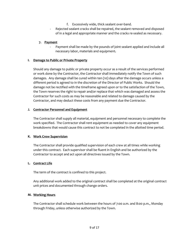- f. Excessively wide, thick sealant over-band.
- Rejected sealant cracks shall be repaired, the sealant removed and disposed of in a legal and appropriate manner and the cracks re-sealed as necessary.

#### **7. Payment**

Payment shall be made by the pounds of joint sealant applied and include all necessary labor, materials and equipment**.**

#### **I. Damage to Public or Private Property**

Should any damage to public or private property occur as a result of the services performed or work done by the Contractor, the Contractor shall immediately notify the Town of such damages. Any damage shall be cured within ten (10) days after the damage occurs unless a different period is agreed to in the discretion of the Director of Public Works. Should the damage not be rectified with the timeframe agreed upon or to the satisfaction of the Town, the Town reserves the right to repair and/or replace that which was damaged and assess the Contractor for such costs as may be reasonable and related to damage caused by the Contractor, and may deduct these costs from any payment due the Contractor.

#### **J. Contractor Personnel and Equipment**

The Contractor shall supply all material, equipment and personnel necessary to complete the work specified. The Contractor shall rent equipment as needed to cover any equipment breakdowns that would cause this contract to not be completed in the allotted time period.

#### **K. Work Crew Supervision**

The Contractor shall provide qualified supervision of each crew at all times while working under this contract. Each supervisor shall be fluent in English and be authorized by the Contractor to accept and act upon all directives issued by the Town.

#### **L. Contract Life**

The term of the contract is confined to this project.

Any additional work added to the original contract shall be completed at the original contract unit prices and documented through change orders.

#### **M. Working Hours**

The Contractor shall schedule work between the hours of 7:00 a.m. and 8:00 p.m., Monday through Friday, unless otherwise authorized by the Town.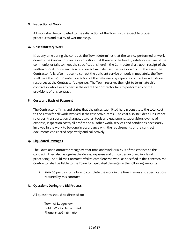#### **N. Inspection of Work**

All work shall be completed to the satisfaction of the Town with respect to proper procedures and quality of workmanship.

#### **O. Unsatisfactory Work**

If, at any time during the contract, the Town determines that the service performed or work done by the Contractor creates a condition that threatens the health, safety or welfare of the community or fails to meet the specifications herein, the Contractor shall, upon receipt of the written or oral notice, immediately correct such deficient service or work. In the event the Contractor fails, after notice, to correct the deficient service or work immediately, the Town shall have the right to order correction of the deficiency by separate contract or with its own resources at the Contractor's expense. The Town reserves the right to terminate this contract in whole or any part in the event the Contractor fails to perform any of the provisions of this contract.

#### **P. Costs and Basis of Payment**

The Contractor affirms and states that the prices submitted herein constitute the total cost to the Town for all work involved in the respective items. The cost also includes all insurance, royalties, transportation charges, use of all tools and equipment, supervision, overhead expense, inspection costs, all profits and all other work, services and conditions necessarily involved in the work to be done in accordance with the requirements of the contract documents considered separately and collectively.

#### **Q. Liquidated Damages**

The Town and Contractor recognize that time and work quality is of the essence to this contract. They also recognize the delays, expense and difficulties involved in a legal proceeding. Should the Contractor fail to complete the work as specified in this contract, the Contractor shall be liable to the Town for liquidated damages in the following amounts:

1. \$100.00 per day for failure to complete the work in the time frames and specifications required by this contract.

#### **R. Questions During the Bid Process**

All questions should be directed to:

Town of Ledgeview Public Works Department Phone: (920) 336-3360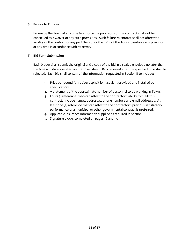#### **S. Failure to Enforce**

Failure by the Town at any time to enforce the provisions of this contract shall not be construed as a waiver of any such provisions. Such failure to enforce shall not affect the validity of the contract or any part thereof or the right of the Town to enforce any provision at any time in accordance with its terms.

### **T. Bid Form Submission**

Each bidder shall submit the original and a copy of the bid in a sealed envelope no later than the time and date specified on the cover sheet. Bids received after the specified time shall be rejected. Each bid shall contain all the information requested in Section II to include:

- 1. Price per pound for rubber asphalt joint sealant provided and installed per specifications.
- 2. A statement of the approximate number of personnel to be working in Town.
- 3. Four (4) references who can attest to the Contractor's ability to fulfill this contract. Include names, addresses, phone numbers and email addresses. At least one (1) reference that can attest to the Contractor's previous satisfactory performance of a municipal or other governmental contract is preferred.
- 4. Applicable insurance information supplied as required in Section D.
- 5. Signature blocks completed on pages 16 and 17.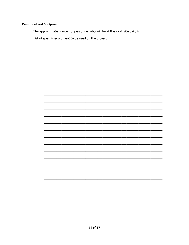# **Personnel and Equipment**

The approximate number of personnel who will be at the work site daily is: \_\_\_\_\_\_\_\_\_\_\_\_

List of specific equipment to be used on the project:

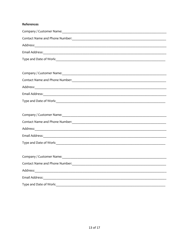# References

| Contact Name and Phone Number: 1988 March 2014 1999 March 2014 1999 March 2014 1999 March 2014              |
|-------------------------------------------------------------------------------------------------------------|
|                                                                                                             |
|                                                                                                             |
|                                                                                                             |
|                                                                                                             |
|                                                                                                             |
| Contact Name and Phone Number: Manual Manual Manual Manual Manual Manual Manual Manual Manual Manual Manual |
|                                                                                                             |
|                                                                                                             |
|                                                                                                             |
|                                                                                                             |
|                                                                                                             |
|                                                                                                             |
|                                                                                                             |
|                                                                                                             |
|                                                                                                             |
|                                                                                                             |
|                                                                                                             |
| Contact Name and Phone Number: 1988 March 2014 March 2014 March 2014 March 2014 March 2014                  |
|                                                                                                             |
|                                                                                                             |
| Type and Date of Work:                                                                                      |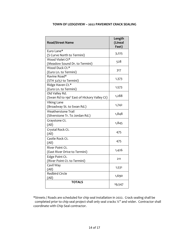| <b>Road/Street Name</b>                       | Length<br>(Lineal<br>Feet) |
|-----------------------------------------------|----------------------------|
| Euro Lane*                                    | 3,225                      |
| (S Curve North to Termini)<br>Wood Violet Ct* |                            |
| (Meadow Sound Dr. to Termini)                 | 528                        |
| Wood Duck Ct.*                                |                            |
| (Euro Ln. to Termini)                         | 317                        |
| Ravine Road*                                  |                            |
| (STH 32/57 to Termini)                        | 1,373                      |
| Ridge Haven Ct.*                              |                            |
| (Euro Ln. to Termini)                         | 1,573                      |
| Old Valley Rd.                                | 1,288                      |
| (Swan Rd to 190' East of Hickory Valley Ct)   |                            |
| <b>Viking Lane</b>                            |                            |
| (Broadway St. to Swan Rd.)                    | 1,742                      |
| <b>Weatherstone Trail</b>                     | 1,848                      |
| (Silverstone Tr. To Jordan Rd.)               |                            |
| Graystone Ct.                                 |                            |
| (A  )                                         | 1,845                      |
| Crystal Rock Ct.                              |                            |
| (A  )                                         | 475                        |
| Castle Rock Ct.                               |                            |
| (A  )                                         | 475                        |
| River Point Ct.                               | 1,426                      |
| (East River Drive to Termini)                 |                            |
| Edge Point Ct.                                | 211                        |
| (River Point Ct. to Termini)                  |                            |
| Cavil Way                                     | 1,531                      |
| (A  )                                         |                            |
| <b>Redbird Circle</b>                         | 1,690                      |
| (A  )<br><b>TOTALS</b>                        |                            |
|                                               | 19,547                     |

#### **TOWN OF LEDGEVIEW – 2022 PAVEMENT CRACK SEALING**

\*Streets / Roads are scheduled for chip seal installation in 2022. Crack sealing shall be completed prior to chip seal project shall only seal cracks ¼" and wider. Contractor shall coordinate with Chip Seal contractor.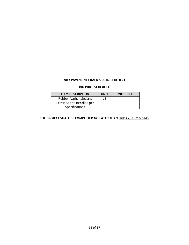#### **2022 PAVEMENT CRACK SEALING PROJECT**

#### **BID PRICE SCHEDULE**

| <b>ITEM DESCRIPTION</b>    | <b>UNIT</b> | <b>UNIT PRICE</b> |
|----------------------------|-------------|-------------------|
| Rubber Asphalt Sealant     | l B         |                   |
| Provided and Installed per |             |                   |
| Specifications             |             |                   |

# **THE PROJECT SHALL BE COMPLETED NO LATER THAN FRIDAY, JULY 8, 2022**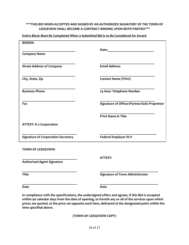#### **\*\*\*THIS BID WHEN ACCEPTED AND SIGNED BY AN AUTHORIZED SIGNATORY OF THE TOWN OF LEDGEVIEW SHALL BECOME A CONTRACT BINDING UPON BOTH PARTIES\*\*\***

| <b>BIDDER:</b>                            |                                                                                                                                                                                                                                |
|-------------------------------------------|--------------------------------------------------------------------------------------------------------------------------------------------------------------------------------------------------------------------------------|
|                                           | Date: the contract of the contract of the contract of the contract of the contract of the contract of the contract of the contract of the contract of the contract of the contract of the contract of the contract of the cont |
| <b>Company Name</b>                       |                                                                                                                                                                                                                                |
|                                           |                                                                                                                                                                                                                                |
|                                           |                                                                                                                                                                                                                                |
| <b>Street Address of Company</b>          | <b>Email Address</b>                                                                                                                                                                                                           |
|                                           |                                                                                                                                                                                                                                |
|                                           |                                                                                                                                                                                                                                |
| City, State, Zip                          | <b>Contact Name (Print)</b>                                                                                                                                                                                                    |
|                                           |                                                                                                                                                                                                                                |
|                                           |                                                                                                                                                                                                                                |
| <b>Business Phone</b>                     | 24 Hour Telephone Number                                                                                                                                                                                                       |
|                                           |                                                                                                                                                                                                                                |
|                                           |                                                                                                                                                                                                                                |
| Fax                                       | Signature of Officer/Partner/Sole Proprietor                                                                                                                                                                                   |
|                                           |                                                                                                                                                                                                                                |
|                                           | <b>Print Name &amp; Title</b>                                                                                                                                                                                                  |
|                                           |                                                                                                                                                                                                                                |
| <b>ATTEST: If a Corporation</b>           |                                                                                                                                                                                                                                |
|                                           |                                                                                                                                                                                                                                |
|                                           |                                                                                                                                                                                                                                |
| <b>Signature of Corporation Secretary</b> | Federal Employer ID #                                                                                                                                                                                                          |
|                                           |                                                                                                                                                                                                                                |
|                                           |                                                                                                                                                                                                                                |
| <b>TOWN OF LEDGEVIEW:</b>                 |                                                                                                                                                                                                                                |
|                                           |                                                                                                                                                                                                                                |
|                                           | <b>ATTEST:</b>                                                                                                                                                                                                                 |
| <b>Authorized Agent Signature</b>         |                                                                                                                                                                                                                                |
|                                           |                                                                                                                                                                                                                                |
|                                           |                                                                                                                                                                                                                                |
| <b>Title</b>                              | <b>Signature of Town Administrator</b>                                                                                                                                                                                         |
|                                           |                                                                                                                                                                                                                                |
|                                           |                                                                                                                                                                                                                                |
| <b>Date</b>                               | <b>Date</b>                                                                                                                                                                                                                    |

#### **Entire Block Must Be Completed When a Submitted Bid Is to Be Considered for Award**

**In compliance with the specifications, the undersigned offers and agrees, if this Bid is accepted within 90 calendar days from the date of opening, to furnish any or all of the services upon which prices are quoted, at the price set opposite each item, delivered at the designated point within the time specified above.**

**(TOWN OF LEDGEVIEW COPY)**